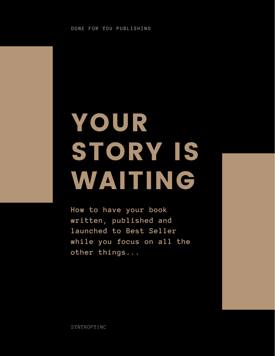# YOUR STORY IS WAITING

**How to have your book written, published and launched to Best Seller while you focus on all the other things...**

SYNTROPYINC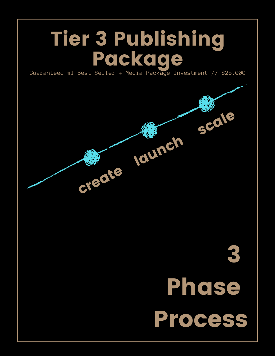## Tier 3 Publishing Package

Guaranteed #1 Best Seller + Media Package Investment // \$25,000

create

3 Phose Process

launch scale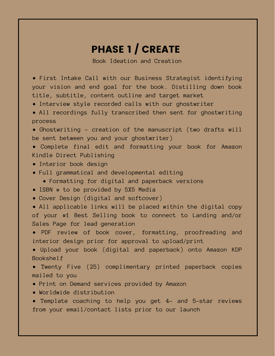#### PHASE 1 / CREATE

Book Ideation and Creation

• First Intake Call with our Business Strategist identifying your vision and end goal for the book. Distilling down book title, subtitle, content outline and target market

- Interview style recorded calls with our ghostwriter
- All recordings fully transcribed then sent for ghostwriting process

• Ghostwriting – creation of the manuscript (two drafts will be sent between you and your ghostwriter)

• Complete final edit and formatting your book for Amazon Kindle Direct Publishing

- Interior book design
- Full grammatical and developmental editing
	- Formatting for digital and paperback versions
- ISBN # to be provided by 5X5 Media
- Cover Design (digital and softcover)

• All applicable links will be placed within the digital copy of your #1 Best Selling book to connect to Landing and/or Sales Page for lead generation

• PDF review of book cover, formatting, proofreading and interior design prior for approval to upload/print

• Upload your book (digital and paperback) onto Amazon KDP Bookshelf

• Twenty Five (25) complimentary printed paperback copies mailed to you

- Print on Demand services provided by Amazon
- Worldwide distribution

• Template coaching to help you get 4- and 5-star reviews from your email/contact lists prior to our launch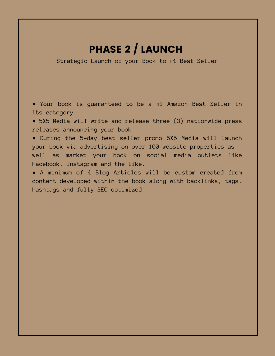### PHASE 2 / LAUNCH

Strategic Launch of your Book to #1 Best Seller

• Your book is guaranteed to be a #1 Amazon Best Seller in its category

• 5X5 Media will write and release three (3) nationwide press releases announcing your book

• During the 5-day best seller promo 5X5 Media will launch your book via advertising on over 100 website properties as well as market your book on social media outlets like Facebook, Instagram and the like.

• A minimum of 4 Blog Articles will be custom created from content developed within the book along with backlinks, tags, hashtags and fully SEO optimized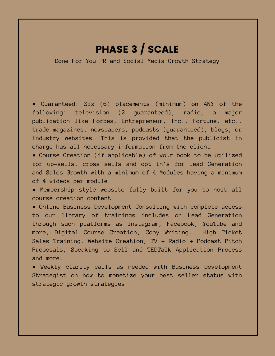#### PHASE 3 / SCALE

Done For You PR and Social Media Growth Strategy

• Guaranteed: Six (6) placements (minimum) on ANY of the following: television (2 guaranteed), radio, a major publication like Forbes, Entrepreneur, Inc., Fortune, etc., trade magazines, newspapers, podcasts (guaranteed), blogs, or industry websites. This is provided that the publicist in charge has all necessary information from the client

• Course Creation (if applicable) of your book to be utilized for up-sells, cross sells and opt in's for Lead Generation and Sales Growth with a minimum of 4 Modules having a minimum of 4 videos per module

• Membership style website fully built for you to host all course creation content

• Online Business Development Consulting with complete access to our library of trainings includes on Lead Generation through such platforms as Instagram, Facebook, YouTube and more, Digital Course Creation, Copy Writing, High Ticket Sales Training, Website Creation, TV + Radio + Podcast Pitch Proposals, Speaking to Sell and TEDTalk Application Process and more.

• Weekly clarity calls as needed with Business Development Strategist on how to monetize your best seller status with strategic growth strategies